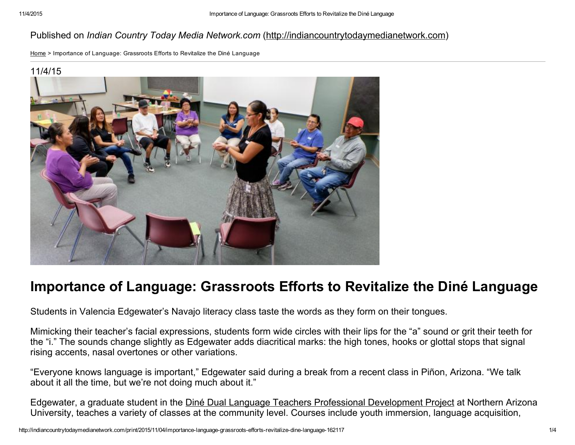## Published on *Indian Country Today Media Network.com* ([http://indiancountrytodaymedianetwork.com](http://indiancountrytodaymedianetwork.com/))

[Home](http://indiancountrytodaymedianetwork.com/) > Importance of Language: Grassroots Efforts to Revitalize the Diné Language

#### 11/4/15



# Importance of Language: Grassroots Efforts to Revitalize the Diné Language

Students in Valencia Edgewater's Navajo literacy class taste the words as they form on their tongues.

Mimicking their teacher's facial expressions, students form wide circles with their lips for the "a" sound or grit their teeth for the "i." The sounds change slightly as Edgewater adds diacritical marks: the high tones, hooks or glottal stops that signal rising accents, nasal overtones or other variations.

"Everyone knows language is important," Edgewater said during a break from a recent class in Piñon, Arizona. "We talk about it all the time, but we're not doing much about it."

Edgewater, a graduate student in the Diné Dual Language Teachers Professional [Development](http://jan.ucc.nau.edu/~jar/HOC/HOC-9.pdf) Project at Northern Arizona University, teaches a variety of classes at the community level. Courses include youth immersion, language acquisition,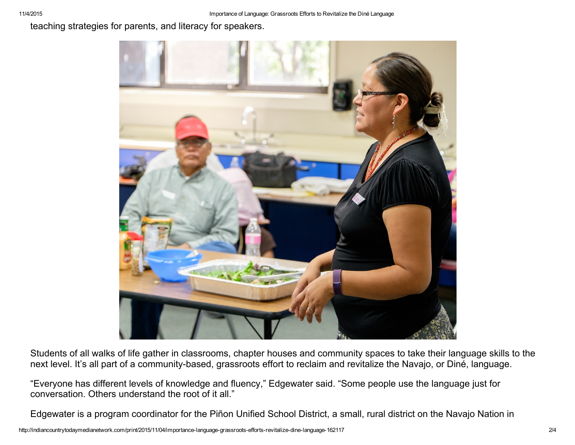teaching strategies for parents, and literacy for speakers.



Students of all walks of life gather in classrooms, chapter houses and community spaces to take their language skills to the next level. It's all part of a community-based, grassroots effort to reclaim and revitalize the Navajo, or Diné, language.

"Everyone has different levels of knowledge and fluency," Edgewater said. "Some people use the language just for conversation. Others understand the root of it all."

Edgewater is a program coordinator for the Piñon Unified School District, a small, rural district on the Navajo Nation in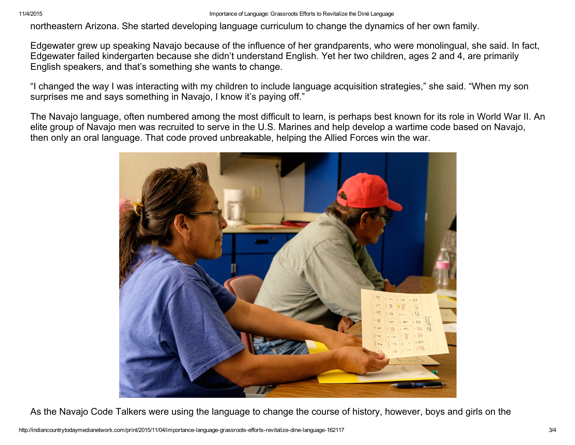northeastern Arizona. She started developing language curriculum to change the dynamics of her own family.

Edgewater grew up speaking Navajo because of the influence of her grandparents, who were monolingual, she said. In fact, Edgewater failed kindergarten because she didn't understand English. Yet her two children, ages 2 and 4, are primarily English speakers, and that's something she wants to change.

"I changed the way I was interacting with my children to include language acquisition strategies," she said. "When my son surprises me and says something in Navajo, I know it's paying off."

The Navajo language, often numbered among the most difficult to learn, is perhaps best known for its role in World War II. An elite group of Navajo men was recruited to serve in the U.S. Marines and help develop a wartime code based on Navajo, then only an oral language. That code proved unbreakable, helping the Allied Forces win the war.



As the Navajo Code Talkers were using the language to change the course of history, however, boys and girls on the